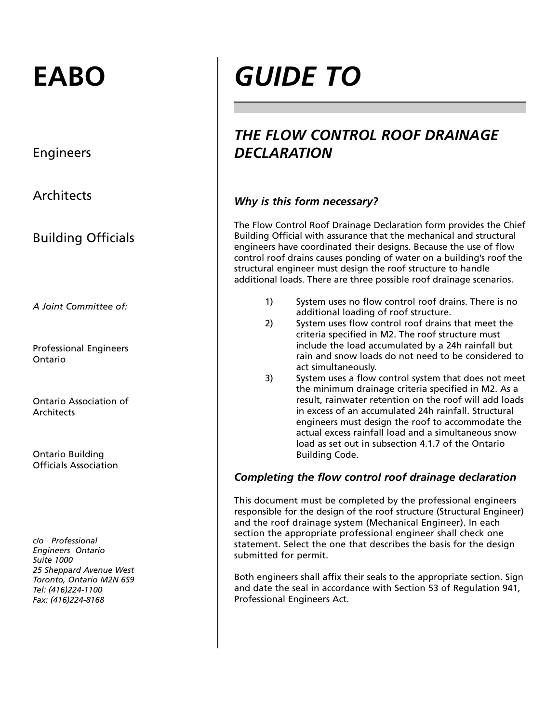## **EABO**

Engineers

**Architects** 

Building Officials

*A Joint Committee of:* 

Professional Engineers Ontario

Ontario Association of **Architects** 

Ontario Building Officials Association

*c/o Professional Engineers Ontario Suite 1000 25 Sheppard Avenue West Toronto, Ontario M2N 6S9 Tel: (416)224-1100 Fax: (416)224-8168* 

# *GUIDE TO*

### *THE FLOW CONTROL ROOF DRAINAGE DECLARATION*

#### *Why is this form necessary?*

The Flow Control Roof Drainage Declaration form provides the Chief Building Official with assurance that the mechanical and structural engineers have coordinated their designs. Because the use of flow control roof drains causes ponding of water on a building's roof the structural engineer must design the roof structure to handle additional loads. There are three possible roof drainage scenarios.

- 1) System uses no flow control roof drains. There is no additional loading of roof structure.
- 2) System uses flow control roof drains that meet the criteria specified in M2. The roof structure must include the load accumulated by a 24h rainfall but rain and snow loads do not need to be considered to act simultaneously.
- 3) System uses a flow control system that does not meet the minimum drainage criteria specified in M2. As a result, rainwater retention on the roof will add loads in excess of an accumulated 24h rainfall. Structural engineers must design the roof to accommodate the actual excess rainfall load and a simultaneous snow load as set out in subsection 4.1.7 of the Ontario Building Code.

#### *Completing the flow control roof drainage declaration*

This document must be completed by the professional engineers responsible for the design of the roof structure (Structural Engineer) and the roof drainage system (Mechanical Engineer). In each section the appropriate professional engineer shall check one statement. Select the one that describes the basis for the design submitted for permit.

Both engineers shall affix their seals to the appropriate section. Sign and date the seal in accordance with Section 53 of Regulation 941, Professional Engineers Act.